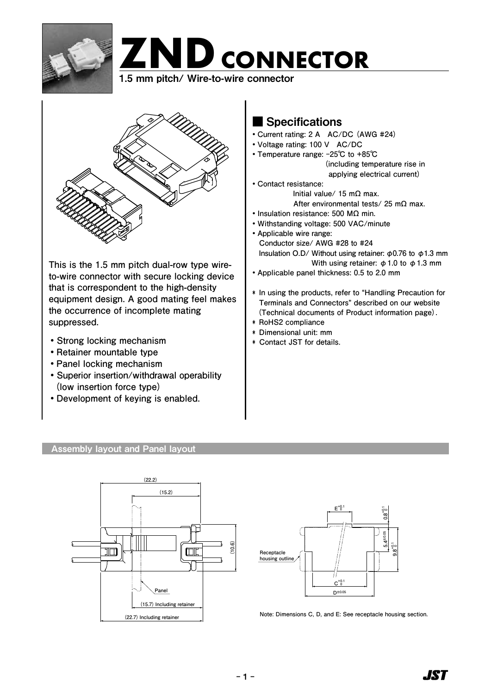



 $\sum_{\alpha}$ 

**This is the 1.5 mm pitch dual-row type wireto-wire connector with secure locking device that is correspondent to the high-density equipment design. A good mating feel makes the occurrence of incomplete mating suppressed.**

- **・Strong locking mechanism**
- **・Retainer mountable type**
- **・Panel locking mechanism**
- **・ Superior insertion/withdrawal operability (low insertion force type)**
- **・Development of keying is enabled.**

# ■ Specifications

- **・Current rating: 2 A AC/DC (AWG #24)**
- **・Voltage rating: 100 V AC/DC**
- **・Temperature range: -25℃ to +85℃ (including temperature rise in applying electrical current)**
- **・Contact resistance: Initial value/ 15 mΩ max. After environmental tests/ 25 mΩ max.**
- **・Insulation resistance: 500 MΩ min.**
- **・Withstanding voltage: 500 VAC/minute**
- **・Applicable wire range: Conductor size/ AWG #28 to #24 Insulation O.D/ Without using retainer: φ0.76 to φ1.3 mm With using retainer: φ1.0 to φ1.3 mm**
- **・Applicable panel thickness: 0.5 to 2.0 mm**
- **\* In using the products, refer to "Handling Precaution for Terminals and Connectors" described on our website (Technical documents of Product information page).**
- **\* RoHS2 compliance**
- **\* Dimensional unit: mm**
- **\* Contact JST for details.**

# Assembly layout and Panel layout





**Note: Dimensions C, D, and E: See receptacle housing section.**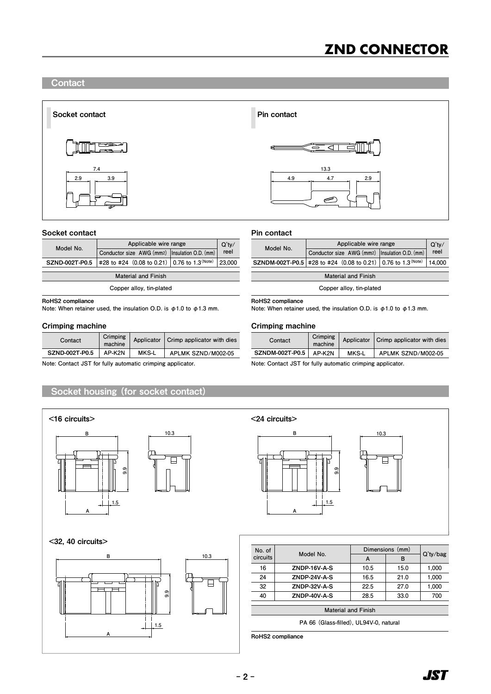## **Contact**



#### Socket contact

| Model No.      | Applicable wire range                                  |  |      |  |
|----------------|--------------------------------------------------------|--|------|--|
|                | Conductor size AWG (mm2)   Insulation O.D. (mm)        |  | reel |  |
| SZND-002T-P0.5 | $\#28$ to #24 (0.08 to 0.21) 0.76 to 1.3 (Note) 23,000 |  |      |  |

**Material and Finish**

**Copper alloy, tin-plated**

### RoHS2 compliance

**Note: When retainer used, the insulation O.D. is φ1.0 to φ1.3 mm.** 

| Contact        | Crimping<br>machine |       | Applicator   Crimp applicator with dies | Contact         | Crimping<br>machine |
|----------------|---------------------|-------|-----------------------------------------|-----------------|---------------------|
| SZND-002T-P0.5 | AP-K2N              | MKS-L | APLMK SZND/M002-05                      | SZNDM-002T-P0.5 | AP-K2N              |

### Socket housing (for socket contact)





#### Pin contact

| Model No. | Applicable wire range                                               | Q'tv/ |      |
|-----------|---------------------------------------------------------------------|-------|------|
|           | Conductor size AWG (mm2)   Insulation O.D. (mm)                     |       | reel |
|           | SZNDM-002T-P0.5 #28 to #24 (0.08 to 0.21) 0.76 to 1.3 (Note) 14,000 |       |      |

**Material and Finish**

**Copper alloy, tin-plated**

RoHS2 compliance

**Note: When retainer used, the insulation O.D. is φ1.0 to φ1.3 mm.** 

### Crimping machine Crimping machine

| Contact                | Crimping<br>machine |       | Applicator   Crimp applicator with dies |
|------------------------|---------------------|-------|-----------------------------------------|
| <b>SZNDM-002T-P0.5</b> | AP-K2N              | MKS-L | APLMK SZND/M002-05                      |

**Note: Contact JST for fully automatic crimping applicator. Note: Contact JST for fully automatic crimping applicator.**



| No. of<br>circuits                     | Model No.           | Dimensions (mm) |      |             |  |  |
|----------------------------------------|---------------------|-----------------|------|-------------|--|--|
|                                        |                     | A               | в    | $Q'$ ty/bag |  |  |
| 16                                     | ZNDP-16V-A-S        | 10.5            | 15.0 | 1,000       |  |  |
| 24                                     | <b>ZNDP-24V-A-S</b> | 16.5            | 21.0 | 1,000       |  |  |
| 32                                     | <b>ZNDP-32V-A-S</b> | 22.5            | 27.0 | 1,000       |  |  |
| 40                                     | <b>ZNDP-40V-A-S</b> | 28.5            | 33.0 | 700         |  |  |
| <b>Material and Finish</b>             |                     |                 |      |             |  |  |
| PA 66 (Glass-filled), UL94V-0, natural |                     |                 |      |             |  |  |

RoHS2 compliance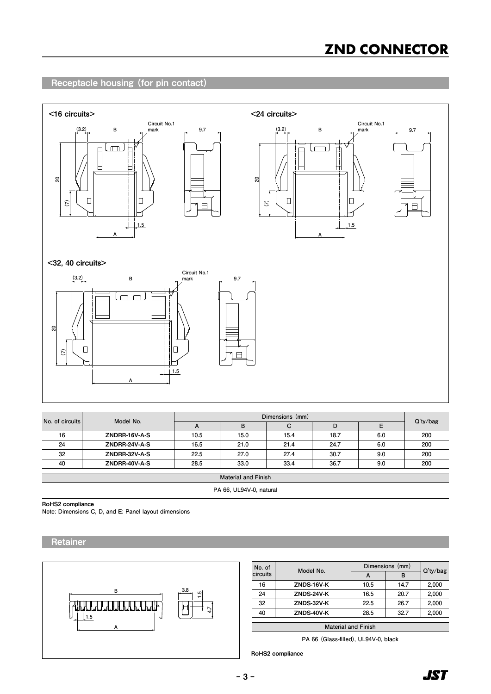# **ZND CONNECTOR**

# Receptacle housing (for pin contact)



| No. of circuits            | Model No.     | Dimensions (mm) |      |      |      |     |             |
|----------------------------|---------------|-----------------|------|------|------|-----|-------------|
|                            |               | A               | в    | С    | D    | Е   | $Q'$ ty/bag |
| 16                         | ZNDRR-16V-A-S | 10.5            | 15.0 | 15.4 | 18.7 | 6.0 | 200         |
| 24                         | ZNDRR-24V-A-S | 16.5            | 21.0 | 21.4 | 24.7 | 6.0 | 200         |
| 32                         | ZNDRR-32V-A-S | 22.5            | 27.0 | 27.4 | 30.7 | 9.0 | 200         |
| 40                         | ZNDRR-40V-A-S | 28.5            | 33.0 | 33.4 | 36.7 | 9.0 | 200         |
| <b>Material and Finish</b> |               |                 |      |      |      |     |             |
|                            |               |                 |      |      |      |     |             |

**PA 66, UL94V-0, natural**

RoHS2 compliance

**Note: Dimensions C, D, and E: Panel layout dimensions**

**Retainer** 



| No. of<br>circuits                                                                                              |            | Dimensions (mm) |      |             |  |  |
|-----------------------------------------------------------------------------------------------------------------|------------|-----------------|------|-------------|--|--|
|                                                                                                                 | Model No.  | A               | в    | $Q'$ ty/bag |  |  |
| 16                                                                                                              | ZNDS-16V-K | 10.5            | 14.7 | 2,000       |  |  |
| 24                                                                                                              | ZNDS-24V-K | 16.5            | 20.7 | 2,000       |  |  |
| 32                                                                                                              | ZNDS-32V-K | 22.5            | 26.7 | 2,000       |  |  |
| 40                                                                                                              | ZNDS-40V-K | 28.5            | 32.7 | 2,000       |  |  |
| <b>Material and Finish</b>                                                                                      |            |                 |      |             |  |  |
| the contract of the contract of the contract of the contract of the contract of the contract of the contract of |            |                 |      |             |  |  |

**PA 66 (Glass-filled), UL94V-0, black**

RoHS2 compliance